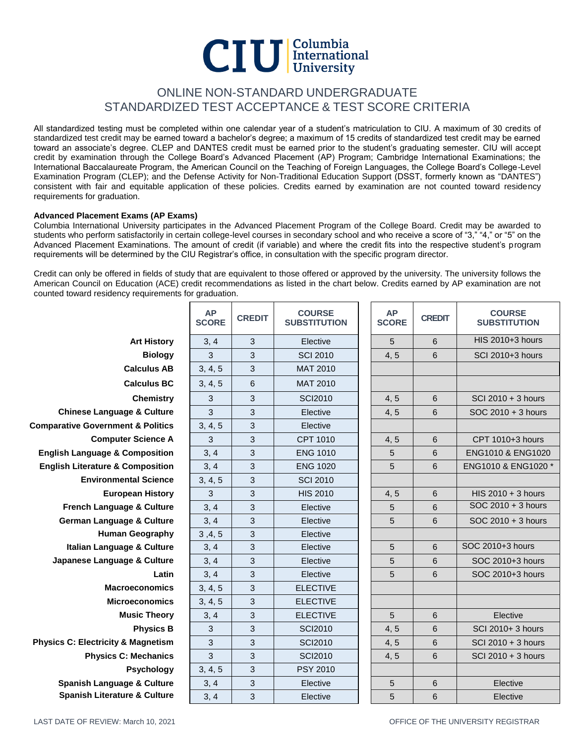# $CIU$   $\frac{\text{Columnbia}}{\text{University}}$

# ONLINE NON-STANDARD UNDERGRADUATE STANDARDIZED TEST ACCEPTANCE & TEST SCORE CRITERIA

All standardized testing must be completed within one calendar year of a student's matriculation to CIU. A maximum of 30 credits of standardized test credit may be earned toward a bachelor's degree; a maximum of 15 credits of standardized test credit may be earned toward an associate's degree. CLEP and DANTES credit must be earned prior to the student's graduating semester. CIU will accept credit by examination through the College Board's Advanced Placement (AP) Program; Cambridge International Examinations; the International Baccalaureate Program, the American Council on the Teaching of Foreign Languages, the College Board's College-Level Examination Program (CLEP); and the Defense Activity for Non-Traditional Education Support (DSST, formerly known as "DANTES") consistent with fair and equitable application of these policies. Credits earned by examination are not counted toward residency requirements for graduation.

# **Advanced Placement Exams (AP Exams)**

Columbia International University participates in the Advanced Placement Program of the College Board. Credit may be awarded to students who perform satisfactorily in certain college-level courses in secondary school and who receive a score of "3," "4," or "5" on the Advanced Placement Examinations. The amount of credit (if variable) and where the credit fits into the respective student's program requirements will be determined by the CIU Registrar's office, in consultation with the specific program director.

Credit can only be offered in fields of study that are equivalent to those offered or approved by the university. The university follows the American Council on Education (ACE) credit recommendations as listed in the chart below. Credits earned by AP examination are not counted toward residency requirements for graduation.

|                                               | <b>AP</b><br><b>SCORE</b> | <b>CREDIT</b> | <b>COURSE</b><br><b>SUBSTITUTION</b> | <b>AP</b><br><b>SCORE</b> | <b>CREDIT</b> | <b>COURSE</b><br><b>SUBSTITUTION</b> |
|-----------------------------------------------|---------------------------|---------------|--------------------------------------|---------------------------|---------------|--------------------------------------|
| <b>Art History</b>                            | 3, 4                      | 3             | Elective                             | 5                         | 6             | HIS 2010+3 hours                     |
| <b>Biology</b>                                | 3                         | 3             | <b>SCI 2010</b>                      | 4, 5                      | 6             | SCI 2010+3 hours                     |
| <b>Calculus AB</b>                            | 3, 4, 5                   | 3             | <b>MAT 2010</b>                      |                           |               |                                      |
| <b>Calculus BC</b>                            | 3, 4, 5                   | 6             | <b>MAT 2010</b>                      |                           |               |                                      |
| <b>Chemistry</b>                              | 3                         | 3             | <b>SCI2010</b>                       | 4, 5                      | 6             | SCI 2010 + 3 hours                   |
| <b>Chinese Language &amp; Culture</b>         | 3                         | 3             | Elective                             | 4, 5                      | 6             | $SOC 2010 + 3$ hours                 |
| <b>Comparative Government &amp; Politics</b>  | 3, 4, 5                   | 3             | Elective                             |                           |               |                                      |
| <b>Computer Science A</b>                     | 3                         | 3             | CPT 1010                             | 4, 5                      | 6             | CPT 1010+3 hours                     |
| <b>English Language &amp; Composition</b>     | 3, 4                      | 3             | <b>ENG 1010</b>                      | 5                         | 6             | ENG1010 & ENG1020                    |
| <b>English Literature &amp; Composition</b>   | 3, 4                      | 3             | <b>ENG 1020</b>                      | 5                         | 6             | ENG1010 & ENG1020 *                  |
| <b>Environmental Science</b>                  | 3, 4, 5                   | 3             | <b>SCI 2010</b>                      |                           |               |                                      |
| <b>European History</b>                       | 3                         | 3             | <b>HIS 2010</b>                      | 4, 5                      | 6             | HIS $2010 + 3$ hours                 |
| French Language & Culture                     | 3, 4                      | 3             | Elective                             | 5                         | 6             | SOC 2010 + 3 hours                   |
| <b>German Language &amp; Culture</b>          | 3, 4                      | 3             | Elective                             | 5                         | 6             | SOC 2010 + 3 hours                   |
| <b>Human Geography</b>                        | 3, 4, 5                   | 3             | Elective                             |                           |               |                                      |
| Italian Language & Culture                    | 3, 4                      | 3             | Elective                             | 5                         | 6             | SOC 2010+3 hours                     |
| Japanese Language & Culture                   | 3, 4                      | 3             | Elective                             | 5                         | 6             | SOC 2010+3 hours                     |
| Latin                                         | 3, 4                      | 3             | Elective                             | 5                         | 6             | SOC 2010+3 hours                     |
| <b>Macroeconomics</b>                         | 3, 4, 5                   | 3             | <b>ELECTIVE</b>                      |                           |               |                                      |
| <b>Microeconomics</b>                         | 3, 4, 5                   | 3             | <b>ELECTIVE</b>                      |                           |               |                                      |
| <b>Music Theory</b>                           | 3, 4                      | 3             | <b>ELECTIVE</b>                      | 5                         | 6             | Elective                             |
| <b>Physics B</b>                              | 3                         | 3             | <b>SCI2010</b>                       | 4, 5                      | $\,$ 6        | SCI 2010+ 3 hours                    |
| <b>Physics C: Electricity &amp; Magnetism</b> | 3                         | 3             | <b>SCI2010</b>                       | 4, 5                      | 6             | SCI 2010 + 3 hours                   |
| <b>Physics C: Mechanics</b>                   | 3                         | 3             | <b>SCI2010</b>                       | 4, 5                      | 6             | SCI 2010 + 3 hours                   |
| Psychology                                    | 3, 4, 5                   | 3             | <b>PSY 2010</b>                      |                           |               |                                      |
| <b>Spanish Language &amp; Culture</b>         | 3, 4                      | 3             | Elective                             | $\sqrt{5}$                | 6             | Elective                             |
| <b>Spanish Literature &amp; Culture</b>       | 3, 4                      | 3             | Elective                             | 5                         | 6             | Elective                             |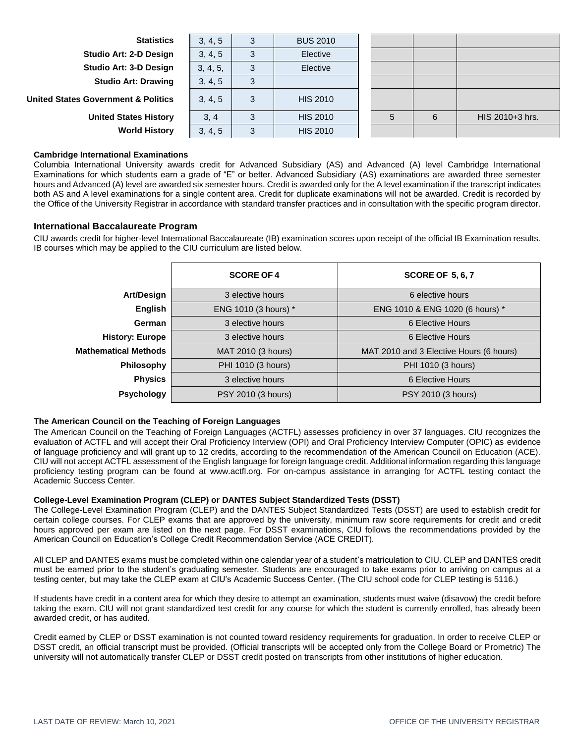| <b>Statistics</b>                              | 3, 4, 5  | 3  | <b>BUS 2010</b> |  |   |                 |
|------------------------------------------------|----------|----|-----------------|--|---|-----------------|
| Studio Art: 2-D Design                         | 3, 4, 5  |    | Elective        |  |   |                 |
| Studio Art: 3-D Design                         | 3, 4, 5, | 3  | Elective        |  |   |                 |
| <b>Studio Art: Drawing</b>                     | 3, 4, 5  | -3 |                 |  |   |                 |
| <b>United States Government &amp; Politics</b> | 3, 4, 5  | 3  | <b>HIS 2010</b> |  |   |                 |
| <b>United States History</b>                   | 3, 4     | 3  | <b>HIS 2010</b> |  | 6 | HIS 2010+3 hrs. |
| <b>World History</b>                           | 3, 4, 5  |    | <b>HIS 2010</b> |  |   |                 |

## **Cambridge International Examinations**

Columbia International University awards credit for Advanced Subsidiary (AS) and Advanced (A) level Cambridge International Examinations for which students earn a grade of "E" or better. Advanced Subsidiary (AS) examinations are awarded three semester hours and Advanced (A) level are awarded six semester hours. Credit is awarded only for the A level examination if the transcript indicates both AS and A level examinations for a single content area. Credit for duplicate examinations will not be awarded. Credit is recorded by the Office of the University Registrar in accordance with standard transfer practices and in consultation with the specific program director.

### **International Baccalaureate Program**

CIU awards credit for higher-level International Baccalaureate (IB) examination scores upon receipt of the official IB Examination results. IB courses which may be applied to the CIU curriculum are listed below.

|                             | <b>SCORE OF 4</b>    | <b>SCORE OF 5, 6, 7</b>                 |
|-----------------------------|----------------------|-----------------------------------------|
| Art/Design                  | 3 elective hours     | 6 elective hours                        |
| English                     | ENG 1010 (3 hours) * | ENG 1010 & ENG 1020 (6 hours) *         |
| German                      | 3 elective hours     | 6 Elective Hours                        |
| <b>History: Europe</b>      | 3 elective hours     | 6 Elective Hours                        |
| <b>Mathematical Methods</b> | MAT 2010 (3 hours)   | MAT 2010 and 3 Elective Hours (6 hours) |
| <b>Philosophy</b>           | PHI 1010 (3 hours)   | PHI 1010 (3 hours)                      |
| <b>Physics</b>              | 3 elective hours     | 6 Elective Hours                        |
| <b>Psychology</b>           | PSY 2010 (3 hours)   | PSY 2010 (3 hours)                      |

### **The American Council on the Teaching of Foreign Languages**

The American Council on the Teaching of Foreign Languages (ACTFL) assesses proficiency in over 37 languages. CIU recognizes the evaluation of ACTFL and will accept their Oral Proficiency Interview (OPI) and Oral Proficiency Interview Computer (OPIC) as evidence of language proficiency and will grant up to 12 credits, according to the recommendation of the American Council on Education (ACE). CIU will not accept ACTFL assessment of the English language for foreign language credit. Additional information regarding this language proficiency testing program can be found at www.actfl.org. For on-campus assistance in arranging for ACTFL testing contact the Academic Success Center.

#### **College-Level Examination Program (CLEP) or DANTES Subject Standardized Tests (DSST)**

The College-Level Examination Program (CLEP) and the DANTES Subject Standardized Tests (DSST) are used to establish credit for certain college courses. For CLEP exams that are approved by the university, minimum raw score requirements for credit and credit hours approved per exam are listed on the next page. For DSST examinations, CIU follows the recommendations provided by the American Council on Education's College Credit Recommendation Service (ACE CREDIT).

All CLEP and DANTES exams must be completed within one calendar year of a student's matriculation to CIU. CLEP and DANTES credit must be earned prior to the student's graduating semester. Students are encouraged to take exams prior to arriving on campus at a testing center, but may take the CLEP exam at CIU's Academic Success Center. (The CIU school code for CLEP testing is 5116.)

If students have credit in a content area for which they desire to attempt an examination, students must waive (disavow) the credit before taking the exam. CIU will not grant standardized test credit for any course for which the student is currently enrolled, has already been awarded credit, or has audited.

Credit earned by CLEP or DSST examination is not counted toward residency requirements for graduation. In order to receive CLEP or DSST credit, an official transcript must be provided. (Official transcripts will be accepted only from the College Board or Prometric) The university will not automatically transfer CLEP or DSST credit posted on transcripts from other institutions of higher education.